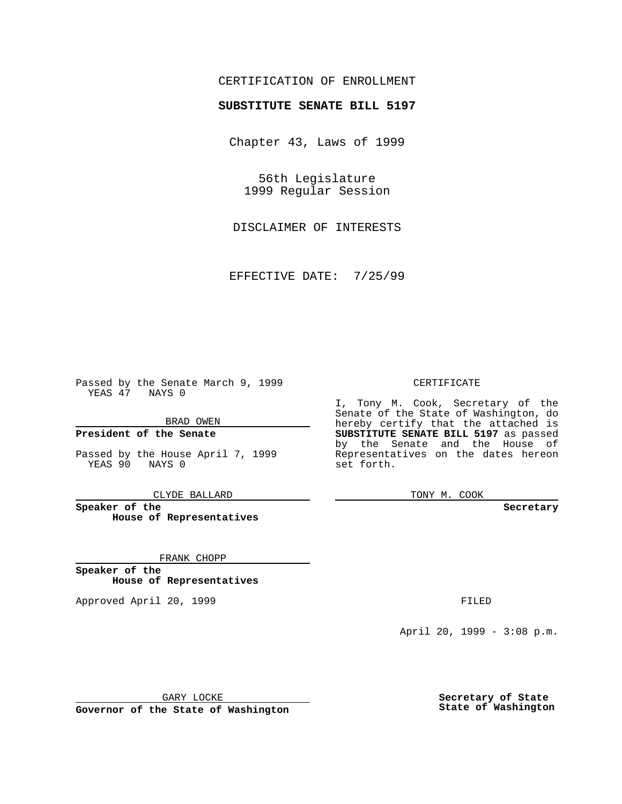### CERTIFICATION OF ENROLLMENT

# **SUBSTITUTE SENATE BILL 5197**

Chapter 43, Laws of 1999

56th Legislature 1999 Regular Session

DISCLAIMER OF INTERESTS

EFFECTIVE DATE: 7/25/99

Passed by the Senate March 9, 1999 YEAS 47 NAYS 0

BRAD OWEN

**President of the Senate**

Passed by the House April 7, 1999 YEAS 90 NAYS 0

CLYDE BALLARD

**Speaker of the House of Representatives**

FRANK CHOPP

**Speaker of the House of Representatives**

Approved April 20, 1999 **FILED** 

#### CERTIFICATE

I, Tony M. Cook, Secretary of the Senate of the State of Washington, do hereby certify that the attached is **SUBSTITUTE SENATE BILL 5197** as passed by the Senate and the House of Representatives on the dates hereon set forth.

TONY M. COOK

**Secretary**

April 20, 1999 - 3:08 p.m.

GARY LOCKE

**Governor of the State of Washington**

**Secretary of State State of Washington**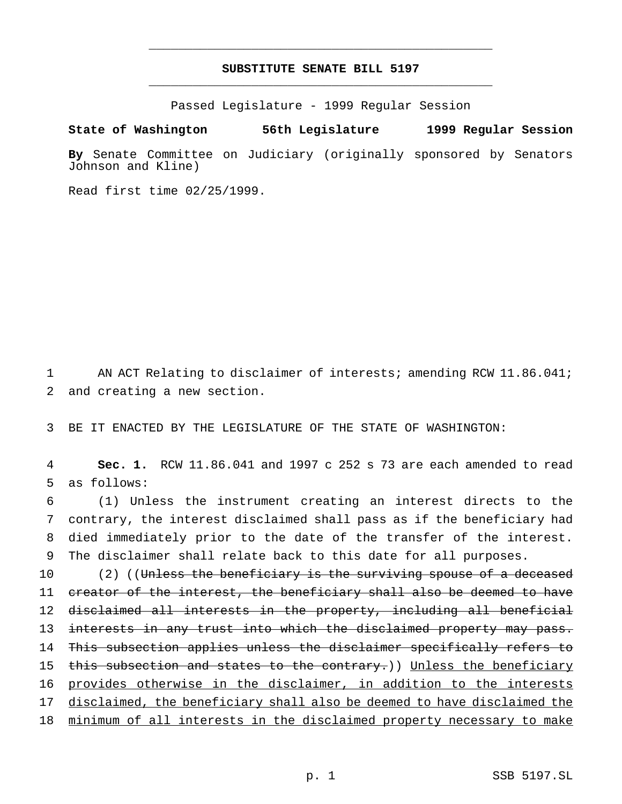## **SUBSTITUTE SENATE BILL 5197** \_\_\_\_\_\_\_\_\_\_\_\_\_\_\_\_\_\_\_\_\_\_\_\_\_\_\_\_\_\_\_\_\_\_\_\_\_\_\_\_\_\_\_\_\_\_\_

\_\_\_\_\_\_\_\_\_\_\_\_\_\_\_\_\_\_\_\_\_\_\_\_\_\_\_\_\_\_\_\_\_\_\_\_\_\_\_\_\_\_\_\_\_\_\_

Passed Legislature - 1999 Regular Session

#### **State of Washington 56th Legislature 1999 Regular Session**

**By** Senate Committee on Judiciary (originally sponsored by Senators Johnson and Kline)

Read first time 02/25/1999.

1 AN ACT Relating to disclaimer of interests; amending RCW 11.86.041; 2 and creating a new section.

3 BE IT ENACTED BY THE LEGISLATURE OF THE STATE OF WASHINGTON:

4 **Sec. 1.** RCW 11.86.041 and 1997 c 252 s 73 are each amended to read 5 as follows:

 (1) Unless the instrument creating an interest directs to the contrary, the interest disclaimed shall pass as if the beneficiary had died immediately prior to the date of the transfer of the interest. The disclaimer shall relate back to this date for all purposes.

10 (2) ((Unless the beneficiary is the surviving spouse of a deceased 11 creator of the interest, the beneficiary shall also be deemed to have 12 disclaimed all interests in the property, including all beneficial 13 interests in any trust into which the disclaimed property may pass. 14 This subsection applies unless the disclaimer specifically refers to 15 this subsection and states to the contrary.)) Unless the beneficiary 16 provides otherwise in the disclaimer, in addition to the interests 17 disclaimed, the beneficiary shall also be deemed to have disclaimed the 18 minimum of all interests in the disclaimed property necessary to make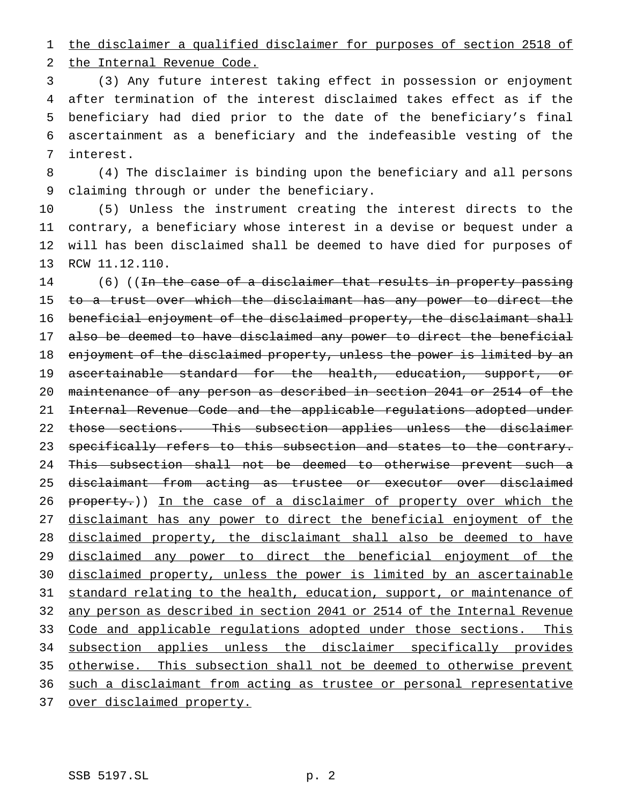the disclaimer a qualified disclaimer for purposes of section 2518 of

the Internal Revenue Code.

 (3) Any future interest taking effect in possession or enjoyment after termination of the interest disclaimed takes effect as if the beneficiary had died prior to the date of the beneficiary's final ascertainment as a beneficiary and the indefeasible vesting of the interest.

 (4) The disclaimer is binding upon the beneficiary and all persons claiming through or under the beneficiary.

 (5) Unless the instrument creating the interest directs to the contrary, a beneficiary whose interest in a devise or bequest under a will has been disclaimed shall be deemed to have died for purposes of RCW 11.12.110.

14 (6) ((In the case of a disclaimer that results in property passing 15 to a trust over which the disclaimant has any power to direct the beneficial enjoyment of the disclaimed property, the disclaimant shall also be deemed to have disclaimed any power to direct the beneficial enjoyment of the disclaimed property, unless the power is limited by an 19 ascertainable standard for the health, education, support, or maintenance of any person as described in section 2041 or 2514 of the Internal Revenue Code and the applicable regulations adopted under those sections. This subsection applies unless the disclaimer 23 specifically refers to this subsection and states to the contrary. 24 This subsection shall not be deemed to otherwise prevent such a disclaimant from acting as trustee or executor over disclaimed 26 property.)) In the case of a disclaimer of property over which the 27 disclaimant has any power to direct the beneficial enjoyment of the disclaimed property, the disclaimant shall also be deemed to have disclaimed any power to direct the beneficial enjoyment of the disclaimed property, unless the power is limited by an ascertainable 31 standard relating to the health, education, support, or maintenance of any person as described in section 2041 or 2514 of the Internal Revenue 33 Code and applicable regulations adopted under those sections. This subsection applies unless the disclaimer specifically provides otherwise. This subsection shall not be deemed to otherwise prevent such a disclaimant from acting as trustee or personal representative 37 over disclaimed property.

SSB 5197.SL p. 2